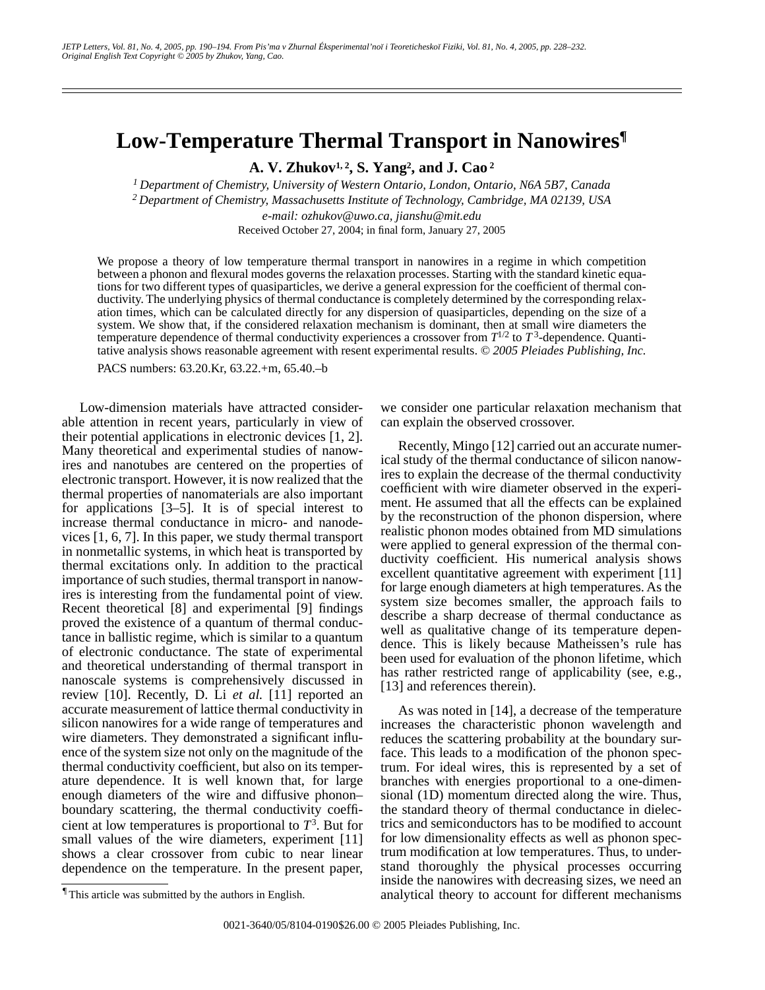## **Low-Temperature Thermal Transport in Nanowires¶**

**A. V. Zhukov1, 2, S. Yang2 , and J. Cao 2**

*1 Department of Chemistry, University of Western Ontario, London, Ontario, N6A 5B7, Canada 2 Department of Chemistry, Massachusetts Institute of Technology, Cambridge, MA 02139, USA e-mail: ozhukov@uwo.ca, jianshu@mit.edu* Received October 27, 2004; in final form, January 27, 2005

We propose a theory of low temperature thermal transport in nanowires in a regime in which competition between a phonon and flexural modes governs the relaxation processes. Starting with the standard kinetic equations for two different types of quasiparticles, we derive a general expression for the coefficient of thermal conductivity. The underlying physics of thermal conductance is completely determined by the corresponding relaxation times, which can be calculated directly for any dispersion of quasiparticles, depending on the size of a system. We show that, if the considered relaxation mechanism is dominant, then at small wire diameters the temperature dependence of thermal conductivity experiences a crossover from  $T^{1/2}$  to  $T^3$ -dependence. Quantitative analysis shows reasonable agreement with resent experimental results. *© 2005 Pleiades Publishing, Inc.*

PACS numbers: 63.20.Kr, 63.22.+m, 65.40.–b

Low-dimension materials have attracted considerable attention in recent years, particularly in view of their potential applications in electronic devices [1, 2]. Many theoretical and experimental studies of nanowires and nanotubes are centered on the properties of electronic transport. However, it is now realized that the thermal properties of nanomaterials are also important for applications [3–5]. It is of special interest to increase thermal conductance in micro- and nanodevices [1, 6, 7]. In this paper, we study thermal transport in nonmetallic systems, in which heat is transported by thermal excitations only. In addition to the practical importance of such studies, thermal transport in nanowires is interesting from the fundamental point of view. Recent theoretical [8] and experimental [9] findings proved the existence of a quantum of thermal conductance in ballistic regime, which is similar to a quantum of electronic conductance. The state of experimental and theoretical understanding of thermal transport in nanoscale systems is comprehensively discussed in review [10]. Recently, D. Li *et al.* [11] reported an accurate measurement of lattice thermal conductivity in silicon nanowires for a wide range of temperatures and wire diameters. They demonstrated a significant influence of the system size not only on the magnitude of the thermal conductivity coefficient, but also on its temperature dependence. It is well known that, for large enough diameters of the wire and diffusive phonon– boundary scattering, the thermal conductivity coefficient at low temperatures is proportional to *T*<sup>3</sup> . But for small values of the wire diameters, experiment [11] shows a clear crossover from cubic to near linear dependence on the temperature. In the present paper,

we consider one particular relaxation mechanism that can explain the observed crossover.

Recently, Mingo [12] carried out an accurate numerical study of the thermal conductance of silicon nanowires to explain the decrease of the thermal conductivity coefficient with wire diameter observed in the experiment. He assumed that all the effects can be explained by the reconstruction of the phonon dispersion, where realistic phonon modes obtained from MD simulations were applied to general expression of the thermal conductivity coefficient. His numerical analysis shows excellent quantitative agreement with experiment [11] for large enough diameters at high temperatures. As the system size becomes smaller, the approach fails to describe a sharp decrease of thermal conductance as well as qualitative change of its temperature dependence. This is likely because Matheissen's rule has been used for evaluation of the phonon lifetime, which has rather restricted range of applicability (see, e.g., [13] and references therein).

As was noted in [14], a decrease of the temperature increases the characteristic phonon wavelength and reduces the scattering probability at the boundary surface. This leads to a modification of the phonon spectrum. For ideal wires, this is represented by a set of branches with energies proportional to a one-dimensional (1D) momentum directed along the wire. Thus, the standard theory of thermal conductance in dielectrics and semiconductors has to be modified to account for low dimensionality effects as well as phonon spectrum modification at low temperatures. Thus, to understand thoroughly the physical processes occurring inside the nanowires with decreasing sizes, we need an analytical theory to account for different mechanisms

<sup>¶</sup> This article was submitted by the authors in English.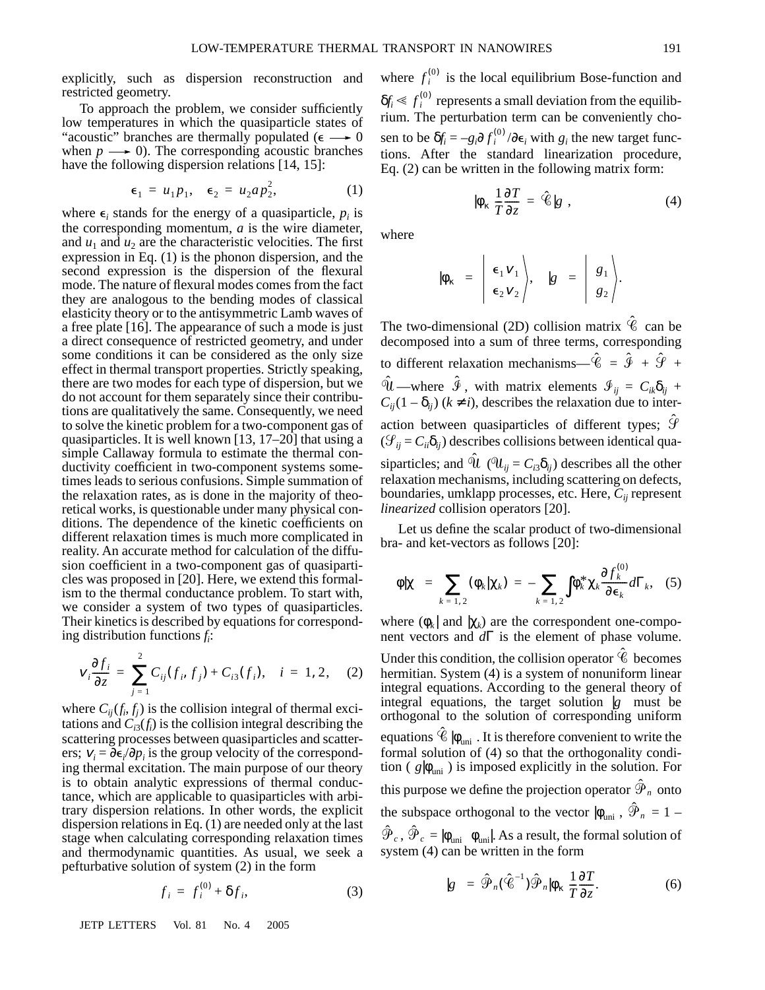explicitly, such as dispersion reconstruction and restricted geometry.

To approach the problem, we consider sufficiently low temperatures in which the quasiparticle states of "acoustic" branches are thermally populated ( $\epsilon \rightarrow 0$ when  $p \longrightarrow 0$ ). The corresponding acoustic branches have the following dispersion relations [14, 15]:

$$
\epsilon_1 = u_1 p_1, \quad \epsilon_2 = u_2 a p_2^2, \tag{1}
$$

where  $\epsilon_i$  stands for the energy of a quasiparticle,  $p_i$  is the corresponding momentum, *a* is the wire diameter, and  $u_1$  and  $u_2$  are the characteristic velocities. The first expression in Eq. (1) is the phonon dispersion, and the second expression is the dispersion of the flexural mode. The nature of flexural modes comes from the fact they are analogous to the bending modes of classical elasticity theory or to the antisymmetric Lamb waves of a free plate [16]. The appearance of such a mode is just a direct consequence of restricted geometry, and under some conditions it can be considered as the only size effect in thermal transport properties. Strictly speaking, there are two modes for each type of dispersion, but we do not account for them separately since their contributions are qualitatively the same. Consequently, we need to solve the kinetic problem for a two-component gas of quasiparticles. It is well known [13, 17–20] that using a simple Callaway formula to estimate the thermal conductivity coefficient in two-component systems sometimes leads to serious confusions. Simple summation of the relaxation rates, as is done in the majority of theoretical works, is questionable under many physical conditions. The dependence of the kinetic coefficients on different relaxation times is much more complicated in reality. An accurate method for calculation of the diffusion coefficient in a two-component gas of quasiparticles was proposed in [20]. Here, we extend this formalism to the thermal conductance problem. To start with, we consider a system of two types of quasiparticles. Their kinetics is described by equations for corresponding distribution functions *fi* :

$$
v_i \frac{\partial f_i}{\partial z} = \sum_{j=1}^2 C_{ij}(f_i, f_j) + C_{i3}(f_i), \quad i = 1, 2, \quad (2)
$$

where  $C_{ij}(f_i, f_j)$  is the collision integral of thermal excitations and  $C_{i3}(f_i)$  is the collision integral describing the scattering processes between quasiparticles and scatterers;  $v_i = \partial \epsilon_i / \partial p_i$  is the group velocity of the corresponding thermal excitation. The main purpose of our theory is to obtain analytic expressions of thermal conductance, which are applicable to quasiparticles with arbitrary dispersion relations. In other words, the explicit dispersion relations in Eq. (1) are needed only at the last stage when calculating corresponding relaxation times and thermodynamic quantities. As usual, we seek a pefturbative solution of system (2) in the form

$$
f_i = f_i^{(0)} + \delta f_i,\tag{3}
$$

JETP LETTERS Vol. 81 No. 4 2005

where  $f_i^{(0)}$  is the local equilibrium Bose-function and  $\delta f_i \le f_i^{(0)}$  represents a small deviation from the equilibrium. The perturbation term can be conveniently chosen to be  $\delta f_i = -g_i \partial f_i^{(0)} / \partial \epsilon_i$  with  $g_i$  the new target functions. After the standard linearization procedure, Eq. (2) can be written in the following matrix form:

$$
|\phi_{\kappa}\rangle \frac{1}{T} \frac{\partial T}{\partial z} = \hat{\mathscr{C}}|g\rangle, \tag{4}
$$

where

$$
|\phi_{\kappa}\rangle = \left| \begin{array}{c} \epsilon_1 v_1 \\ \epsilon_2 v_2 \end{array} \right|, \quad |g\rangle = \left| \begin{array}{c} g_1 \\ g_2 \end{array} \right|.
$$

The two-dimensional (2D) collision matrix  $\hat{\mathscr{C}}$  can be decomposed into a sum of three terms, corresponding to different relaxation mechanisms— $\hat{C} = \hat{\mathcal{F}} + \hat{\mathcal{F}} + \hat{\mathcal{F}}$ —where  $\mathcal{F}$ , with matrix elements  $\mathcal{F}_{ij} = C_{ik}\delta_{ij} + \delta_{ij}$  $C_{ij}(1 - \delta_{ij})$  ( $k \neq i$ ), describes the relaxation due to interaction between quasiparticles of different types;  $\hat{\mathcal{G}}$  $(\mathcal{G}_{ii} = C_{ii} \delta_{ii})$  describes collisions between identical quasiparticles; and  $\hat{U}$  ( $\hat{U}_{ij} = C_{i3} \delta_{ij}$ ) describes all the other relaxation mechanisms, including scattering on defects, boundaries, umklapp processes, etc. Here, *Cij* represent *linearized* collision operators [20].  $\hat{u}$  —where  $\hat{\mathcal{F}}$ 

Let us define the scalar product of two-dimensional bra- and ket-vectors as follows [20]:

$$
\langle \phi | \chi \rangle = \sum_{k=1,2} (\phi_k | \chi_k) = - \sum_{k=1,2} \int \phi_k^* \chi_k \frac{\partial f_k^{(0)}}{\partial \epsilon_k} d\Gamma_k, \quad (5)
$$

where  $(\phi_k |$  and  $|\chi_k)$  are the correspondent one-component vectors and *d*Γ is the element of phase volume.

Under this condition, the collision operator  $\hat{\mathscr{C}}$  becomes hermitian. System (4) is a system of nonuniform linear integral equations. According to the general theory of integral equations, the target solution  $|g\rangle$  must be orthogonal to the solution of corresponding uniform equations  $\hat{\mathscr{C}}$   $|\phi_{\mathrm{uni}}\rangle$ . It is therefore convenient to write the formal solution of (4) so that the orthogonality condition  $(\langle g | \phi_{\text{uni}} \rangle)$  is imposed explicitly in the solution. For this purpose we define the projection operator  $\hat{\mathcal{P}}_n$  onto the subspace orthogonal to the vector  $|\phi_{\text{uni}}\rangle$ ,  $\hat{\mathcal{P}}_n = 1$  $\hat{\boldsymbol{\mathcal{P}}}_c$  ,  $\hat{\boldsymbol{\mathcal{P}}}_c$  =  $|\phi_{\text{uni}}\rangle\langle\phi_{\text{uni}}|$ . As a result, the formal solution of system (4) can be written in the form

$$
|g\rangle = \hat{\mathcal{P}}_n(\hat{\mathcal{C}}^{-1})\hat{\mathcal{P}}_n|\phi_\kappa\rangle \frac{1}{T}\frac{\partial T}{\partial z}.
$$
 (6)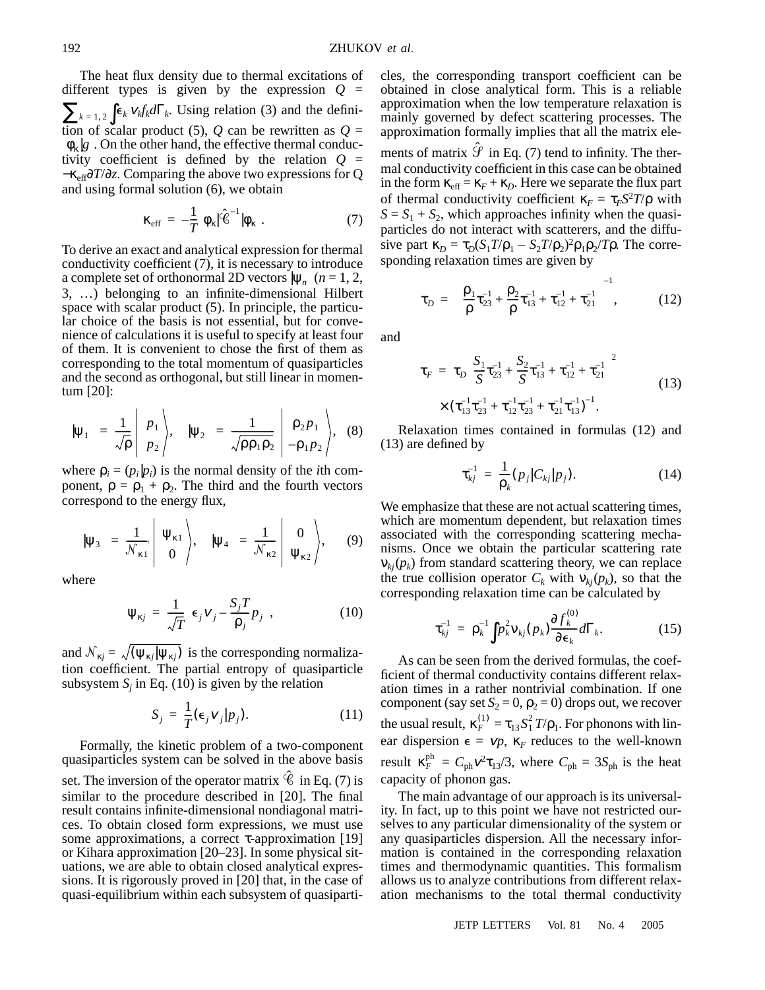The heat flux density due to thermal excitations of different types is given by the expression  $Q =$  $\sum_{k=1,2} \int \epsilon_k v_k f_k d\Gamma_k$ . Using relation (3) and the definition of scalar product (5),  $Q$  can be rewritten as  $Q =$ 〈φκ|*g*〉. On the other hand, the effective thermal conductivity coefficient is defined by the relation  $Q =$ −κeff∂*T*/∂*z*. Comparing the above two expressions for Q and using formal solution (6), we obtain

$$
\kappa_{\rm eff} = -\frac{1}{T} \langle \phi_{\kappa} | \hat{\mathcal{C}}^{-1} | \phi_{\kappa} \rangle. \tag{7}
$$

To derive an exact and analytical expression for thermal conductivity coefficient (7), it is necessary to introduce a complete set of orthonormal 2D vectors  $|\psi_n\rangle$  (*n* = 1, 2, 3, …) belonging to an infinite-dimensional Hilbert space with scalar product (5). In principle, the particular choice of the basis is not essential, but for convenience of calculations it is useful to specify at least four of them. It is convenient to chose the first of them as corresponding to the total momentum of quasiparticles and the second as orthogonal, but still linear in momentum [20]:

$$
|\psi_1\rangle = \frac{1}{\sqrt{\rho}} \begin{vmatrix} p_1 \\ p_2 \end{vmatrix}, \quad |\psi_2\rangle = \frac{1}{\sqrt{\rho \rho_1 \rho_2}} \begin{vmatrix} \rho_2 p_1 \\ -\rho_1 p_2 \end{vmatrix}, \quad (8)
$$

where  $\rho_i = (p_i | p_i)$  is the normal density of the *i*th component,  $\rho = \rho_1 + \rho_2$ . The third and the fourth vectors correspond to the energy flux,

$$
|\Psi_3\rangle = \frac{1}{\mathcal{N}_{\kappa 1}} \left| \begin{array}{c} \Psi_{\kappa 1} \\ 0 \end{array} \right|, \quad |\Psi_4\rangle = \frac{1}{\mathcal{N}_{\kappa 2}} \left| \begin{array}{c} 0 \\ \Psi_{\kappa 2} \end{array} \right|, \quad (9)
$$

where

$$
\Psi_{\kappa j} = \frac{1}{\sqrt{T}} \Big( \epsilon_j v_j - \frac{S_j T}{\rho_j} p_j \Big), \tag{10}
$$

and  $\mathcal{N}_{kj} = \sqrt{(\psi_{kj}|\psi_{kj})}$  is the corresponding normalization coefficient. The partial entropy of quasiparticle subsystem  $S_j$  in Eq. (10) is given by the relation

$$
S_j = \frac{1}{T} (\epsilon_j v_j | p_j). \tag{11}
$$

Formally, the kinetic problem of a two-component quasiparticles system can be solved in the above basis set. The inversion of the operator matrix  $\hat{\mathscr{C}}$  in Eq. (7) is similar to the procedure described in [20]. The final result contains infinite-dimensional nondiagonal matrices. To obtain closed form expressions, we must use some approximations, a correct τ-approximation [19] or Kihara approximation [20–23]. In some physical situations, we are able to obtain closed analytical expressions. It is rigorously proved in [20] that, in the case of quasi-equilibrium within each subsystem of quasiparticles, the corresponding transport coefficient can be obtained in close analytical form. This is a reliable approximation when the low temperature relaxation is mainly governed by defect scattering processes. The approximation formally implies that all the matrix ele-

ments of matrix  $\hat{\mathcal{G}}$  in Eq. (7) tend to infinity. The thermal conductivity coefficient in this case can be obtained in the form  $\kappa_{\text{eff}} = \kappa_F + \kappa_D$ . Here we separate the flux part of thermal conductivity coefficient  $\kappa_F = \tau_F S^2 T / \rho$  with  $S = S_1 + S_2$ , which approaches infinity when the quasiparticles do not interact with scatterers, and the diffusive part  $\kappa_D = \tau_D (S_1 T/\rho_1 - S_2 T/\rho_2)^2 \rho_1 \rho_2 / T \rho$ . The corresponding relaxation times are given by

$$
\tau_D = \left\{ \frac{\rho_1}{\rho} \tau_{23}^{-1} + \frac{\rho_2}{\rho} \tau_{13}^{-1} + \tau_{12}^{-1} + \tau_{21}^{-1} \right\}^{-1}, \quad (12)
$$

and

$$
\tau_F = \tau_D \bigg( \frac{S_1}{S} \tau_{23}^{-1} + \frac{S_2}{S} \tau_{13}^{-1} + \tau_{12}^{-1} + \tau_{21}^{-1} \bigg)^2
$$
  
 
$$
\times (\tau_{13}^{-1} \tau_{23}^{-1} + \tau_{12}^{-1} \tau_{23}^{-1} + \tau_{21}^{-1} \tau_{13}^{-1} )^{-1}.
$$
 (13)

Relaxation times contained in formulas (12) and (13) are defined by

$$
\tau_{kj}^{-1} = \frac{1}{\rho_k} (p_j | C_{kj} | p_j).
$$
 (14)

We emphasize that these are not actual scattering times, which are momentum dependent, but relaxation times associated with the corresponding scattering mechanisms. Once we obtain the particular scattering rate  $v_{ki}(p_k)$  from standard scattering theory, we can replace the true collision operator  $C_k$  with  $v_{ki}(p_k)$ , so that the corresponding relaxation time can be calculated by

$$
\tau_{kj}^{-1} = \rho_k^{-1} \int p_k^2 v_{kj}(p_k) \frac{\partial f_k^{(0)}}{\partial \epsilon_k} d\Gamma_k.
$$
 (15)

As can be seen from the derived formulas, the coefficient of thermal conductivity contains different relaxation times in a rather nontrivial combination. If one component (say set  $S_2 = 0$ ,  $\rho_2 = 0$ ) drops out, we recover the usual result,  $\kappa_F^{(1)} = \tau_{13} S_1^2 T/\rho_1$ . For phonons with linear dispersion  $\epsilon = vp$ ,  $\kappa_F$  reduces to the well-known result  $\kappa_F^{ph} = C_{ph} v^2 \tau_{13}/3$ , where  $C_{ph} = 3S_{ph}$  is the heat capacity of phonon gas.

The main advantage of our approach is its universality. In fact, up to this point we have not restricted ourselves to any particular dimensionality of the system or any quasiparticles dispersion. All the necessary information is contained in the corresponding relaxation times and thermodynamic quantities. This formalism allows us to analyze contributions from different relaxation mechanisms to the total thermal conductivity

JETP LETTERS Vol. 81 No. 4 2005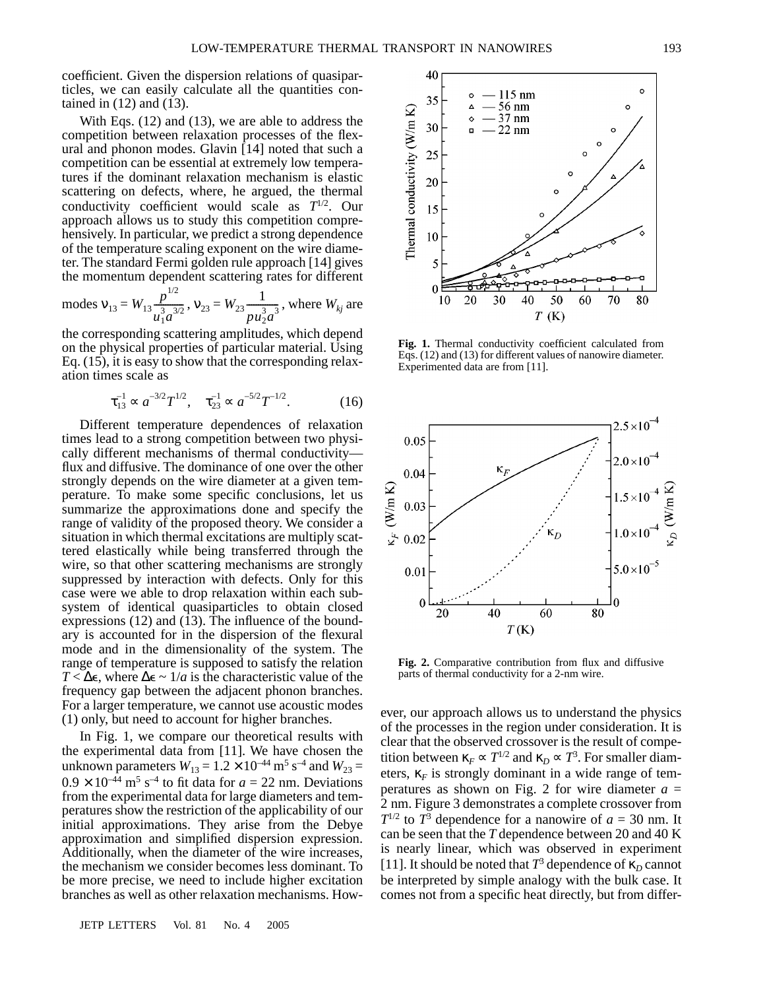coefficient. Given the dispersion relations of quasiparticles, we can easily calculate all the quantities contained in (12) and (13).

With Eqs. (12) and (13), we are able to address the competition between relaxation processes of the flexural and phonon modes. Glavin [14] noted that such a competition can be essential at extremely low temperatures if the dominant relaxation mechanism is elastic scattering on defects, where, he argued, the thermal conductivity coefficient would scale as  $T^{1/2}$ . Our approach allows us to study this competition comprehensively. In particular, we predict a strong dependence of the temperature scaling exponent on the wire diameter. The standard Fermi golden rule approach [14] gives the momentum dependent scattering rates for different

modes 
$$
v_{13} = W_{13} \frac{p^{1/2}}{u_1^3 a^{3/2}}
$$
,  $v_{23} = W_{23} \frac{1}{p u_2^3 a^3}$ , where  $W_{kj}$  are

the corresponding scattering amplitudes, which depend on the physical properties of particular material. Using Eq. (15), it is easy to show that the corresponding relaxation times scale as

$$
\tau_{13}^{-1} \propto a^{-3/2} T^{1/2}, \quad \tau_{23}^{-1} \propto a^{-5/2} T^{-1/2}.
$$
 (16)

Different temperature dependences of relaxation times lead to a strong competition between two physically different mechanisms of thermal conductivity flux and diffusive. The dominance of one over the other strongly depends on the wire diameter at a given temperature. To make some specific conclusions, let us summarize the approximations done and specify the range of validity of the proposed theory. We consider a situation in which thermal excitations are multiply scattered elastically while being transferred through the wire, so that other scattering mechanisms are strongly suppressed by interaction with defects. Only for this case were we able to drop relaxation within each subsystem of identical quasiparticles to obtain closed expressions (12) and (13). The influence of the boundary is accounted for in the dispersion of the flexural mode and in the dimensionality of the system. The range of temperature is supposed to satisfy the relation *T* <  $\Delta$ **e**, where  $\Delta$ **e** ~ 1/*a* is the characteristic value of the frequency gap between the adjacent phonon branches. For a larger temperature, we cannot use acoustic modes (1) only, but need to account for higher branches.

In Fig. 1, we compare our theoretical results with the experimental data from [11]. We have chosen the unknown parameters  $W_{13} = 1.2 \times 10^{-44} \text{ m}^5 \text{ s}^{-4}$  and  $W_{23} =$  $0.9 \times 10^{-44}$  m<sup>5</sup> s<sup>-4</sup> to fit data for  $a = 22$  nm. Deviations from the experimental data for large diameters and temperatures show the restriction of the applicability of our initial approximations. They arise from the Debye approximation and simplified dispersion expression. Additionally, when the diameter of the wire increases, the mechanism we consider becomes less dominant. To be more precise, we need to include higher excitation branches as well as other relaxation mechanisms. How-

JETP LETTERS Vol. 81 No. 4 2005



**Fig. 1.** Thermal conductivity coefficient calculated from Eqs. (12) and (13) for different values of nanowire diameter. Experimented data are from [11].



**Fig. 2.** Comparative contribution from flux and diffusive parts of thermal conductivity for a 2-nm wire.

ever, our approach allows us to understand the physics of the processes in the region under consideration. It is clear that the observed crossover is the result of competition between  $\kappa_F \propto T^{1/2}$  and  $\kappa_D \propto T^3$ . For smaller diameters,  $\kappa_F$  is strongly dominant in a wide range of temperatures as shown on Fig. 2 for wire diameter  $a =$ 2 nm. Figure 3 demonstrates a complete crossover from  $T^{1/2}$  to  $T^3$  dependence for a nanowire of  $a = 30$  nm. It can be seen that the *T* dependence between 20 and 40 K is nearly linear, which was observed in experiment [11]. It should be noted that  $T^3$  dependence of  $\kappa_D$  cannot be interpreted by simple analogy with the bulk case. It comes not from a specific heat directly, but from differ-